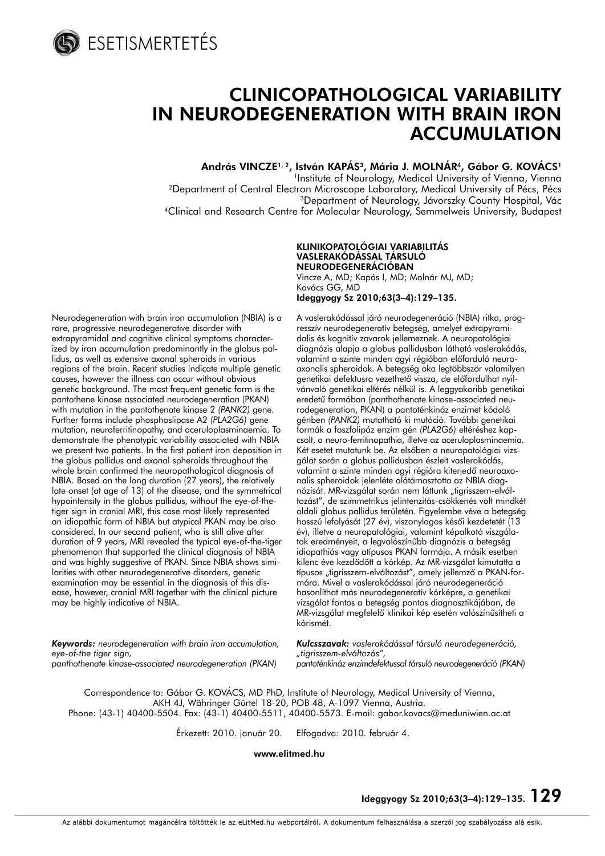

ESETISMERTETÉS

# CLINICOPATHOLOGICAL VARIABILITY IN NEURODEGENERATION WITH BRAIN IRON ACCUMULATION

András VINCZE<sup>1, 2</sup>, István KAPÁS<sup>3</sup>, Mária J. MOLNÁR<sup>4</sup>, Gábor G. KOVÁCS<sup>1</sup> <sup>1</sup>Institute of Neurology, Medical University of Vienna, Vienna 2Department of Central Electron Microscope Laboratory, Medical University of Pécs, Pécs 3Department of Neurology, Jávorszky County Hospital, Vác 4Clinical and Research Centre for Molecular Neurology, Semmelweis University, Budapest

#### KLINIKOPATOLÓGIAI VARIABILITÁS VASLERAKÓDÁSSAL TÁRSULÓ NEURODEGENERÁCIÓBAN

Vincze A, MD; Kapás I, MD; Molnár MJ, MD; Kovács GG, MD Ideggyogy Sz 2010;63(3–4):129–135.

Neurodegeneration with brain iron accumulation (NBIA) is a rare, progressive neurodegenerative disorder with extrapyramidal and cognitive clinical symptoms characterized by iron accumulation predominantly in the globus pallidus, as well as extensive axonal spheroids in various regions of the brain. Recent studies indicate multiple genetic causes, however the illness can occur without obvious genetic background. The most frequent genetic form is the pantothene kinase associated neurodegeneration (PKAN) with mutation in the pantothenate kinase 2 *(PANK2)* gene. Further forms include phosphoslipase A2 *(PLA2G6)* gene mutation, neuroferritinopathy, and aceruloplasminaemia. To demonstrate the phenotypic variability associated with NBIA we present two patients. In the first patient iron deposition in the globus pallidus and axonal spheroids throughout the whole brain confirmed the neuropathological diagnosis of NBIA. Based on the long duration (27 years), the relatively late onset (at age of 13) of the disease, and the symmetrical hypointensity in the globus pallidus, without the eye-of-thetiger sign in cranial MRI, this case most likely represented an idiopathic form of NBIA but atypical PKAN may be also considered. In our second patient, who is still alive after duration of 9 years, MRI revealed the typical eye-of-the-tiger phenomenon that supported the clinical diagnosis of NBIA and was highly suggestive of PKAN. Since NBIA shows similarities with other neurodegenerative disorders, genetic examination may be essential in the diagnosis of this disease, however, cranial MRI together with the clinical picture may be highly indicative of NBIA.

A vaslerakódással járó neurodegeneráció (NBIA) ritka, progresszív neurodegeneratív betegség, amelyet extrapyramidalis és kognitív zavarok jellemeznek. A neuropatológiai diagnózis alapja a globus pallidusban látható vaslerakódás, valamint a szinte minden agyi régióban előforduló neuroaxonalis spheroidok. A betegség oka legtöbbször valamilyen genetikai defektusra vezethetô vissza, de elôfordulhat nyilvánvaló genetikai eltérés nélkül is. A leggyakoribb genetikai eredetû formában (panthothenate kinase-associated neurodegeneration, PKAN) a pantoténkináz enzimet kódoló génben *(PANK2)* mutatható ki mutáció. További genetikai formák a foszfolipáz enzim gén *(PLA2G6)* eltéréshez kapcsolt, a neuro-ferritinopathia, illetve az aceruloplasminaemia. Két esetet mutatunk be. Az elsőben a neuropatológiai vizsgálat során a globus pallidusban észlelt vaslerakódás, valamint a szinte minden agyi régióra kiterjedô neuroaxonalis spheroidok jelenléte alátámasztotta az NBIA diagnózisát. MR-vizsgálat során nem láttunk "tigrisszem-elváltozást", de szimmetrikus jelintenzitás-csökkenés volt mindkét oldali globus pallidus területén. Figyelembe véve a betegség hosszú lefolyását (27 év), viszonylagos késői kezdetetét (13 év), illetve a neuropatológiai, valamint képalkotó viszgálatok eredményeit, a legvalószínûbb diagnózis a betegség idiopathiás vagy atípusos PKAN formája. A másik esetben kilenc éve kezdôdött a kórkép. Az MR-vizsgálat kimutatta a típusos "tigrisszem-elváltozást", amely jellemző a PKAN-formára. Mivel a vaslerakódással járó neurodegeneráció hasonlíthat más neurodegeneratív kórképre, a genetikai vizsgálat fontos a betegség pontos diagnosztikájában, de MR-vizsgálat megfelelô klinikai kép esetén valószínûsítheti a kórismét.

*Keywords: neurodegeneration with brain iron accumulation, eye-of-the tiger sign, panthothenate kinase-associated neurodegeneration (PKAN)*

*Kulcsszavak: vaslerakódással társuló neurodegeneráció, "tigrisszem-elváltozás",*

*pantoténkináz enzimdefektussal társuló neurodegeneráció (PKAN)*

Correspondence to: Gábor G. KOVÁCS, MD PhD, Institute of Neurology, Medical University of Vienna, AKH 4J, Währinger Gürtel 18-20, POB 48, A-1097 Vienna, Austria. Phone: (43-1) 40400-5504. Fax: (43-1) 40400-5511, 40400-5573. E-mail: gabor.kovacs@meduniwien.ac.at

Érkezett: 2010. január 20. Elfogadva: 2010. február 4.

www.elitmed.hu

Ideggyogy Sz 2010;63(3–4):129–135. 129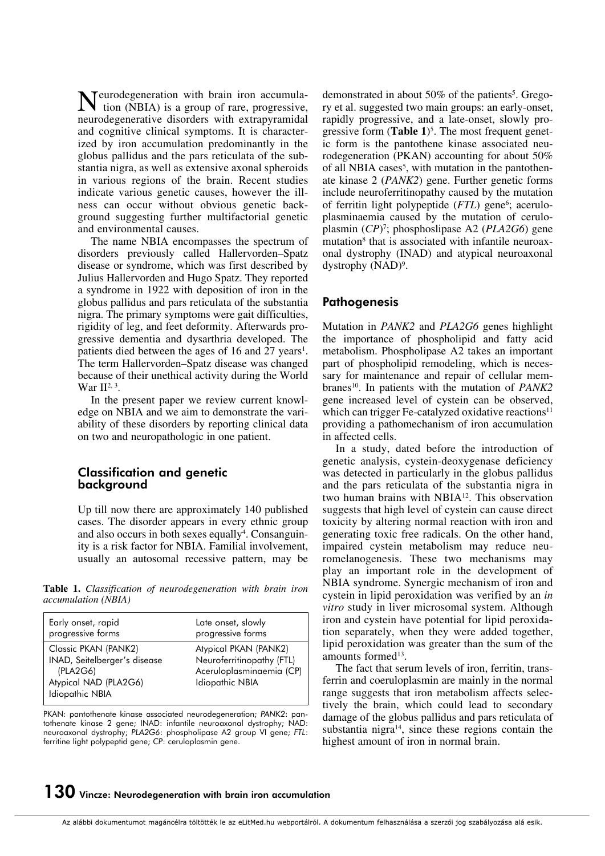Neurodegeneration with brain iron accumula-tion (NBIA) is a group of rare, progressive, neurodegenerative disorders with extrapyramidal and cognitive clinical symptoms. It is characterized by iron accumulation predominantly in the globus pallidus and the pars reticulata of the substantia nigra, as well as extensive axonal spheroids in various regions of the brain. Recent studies indicate various genetic causes, however the illness can occur without obvious genetic background suggesting further multifactorial genetic and environmental causes.

The name NBIA encompasses the spectrum of disorders previously called Hallervorden–Spatz disease or syndrome, which was first described by Julius Hallervorden and Hugo Spatz. They reported a syndrome in 1922 with deposition of iron in the globus pallidus and pars reticulata of the substantia nigra. The primary symptoms were gait difficulties, rigidity of leg, and feet deformity. Afterwards progressive dementia and dysarthria developed. The patients died between the ages of 16 and  $27$  years<sup>1</sup>. The term Hallervorden–Spatz disease was changed because of their unethical activity during the World War  $II^{2,3}$ .

In the present paper we review current knowledge on NBIA and we aim to demonstrate the variability of these disorders by reporting clinical data on two and neuropathologic in one patient.

### Classification and genetic background

Up till now there are approximately 140 published cases. The disorder appears in every ethnic group and also occurs in both sexes equally<sup>4</sup>. Consanguinity is a risk factor for NBIA. Familial involvement, usually an autosomal recessive pattern, may be

**Table 1.** *Classification of neurodegeneration with brain iron accumulation (NBIA)*

| Early onset, rapid                                                                                           | Late onset, slowly                                                                                |
|--------------------------------------------------------------------------------------------------------------|---------------------------------------------------------------------------------------------------|
| progressive forms                                                                                            | progressive forms                                                                                 |
| Classic PKAN (PANK2)<br>INAD, Seitelberger's disease<br>(PLA2G6)<br>Atypical NAD (PLA2G6)<br>Idiopathic NBIA | Atypical PKAN (PANK2)<br>Neuroferritinopathy (FTL)<br>Aceruloplasminaemia (CP)<br>Idiopathic NBIA |

PKAN: pantothenate kinase associated neurodegeneration; *PANK2*: pantothenate kinase 2 gene; INAD: infantile neuroaxonal dystrophy; NAD: neuroaxonal dystrophy; *PLA2G6*: phospholipase A2 group VI gene; *FTL*: ferritine light polypeptid gene; *CP*: ceruloplasmin gene.

demonstrated in about 50% of the patients<sup>5</sup>. Gregory et al. suggested two main groups: an early-onset, rapidly progressive, and a late-onset, slowly progressive form (**Table 1**)<sup>5</sup>. The most frequent genetic form is the pantothene kinase associated neurodegeneration (PKAN) accounting for about 50% of all NBIA cases<sup>5</sup>, with mutation in the pantothenate kinase 2 (*PANK2*) gene. Further genetic forms include neuroferritinopathy caused by the mutation of ferritin light polypeptide (FTL) gene<sup>6</sup>; aceruloplasminaemia caused by the mutation of ceruloplasmin (*CP*)7 ; phosphoslipase A2 (*PLA2G6*) gene mutation<sup>8</sup> that is associated with infantile neuroaxonal dystrophy (INAD) and atypical neuroaxonal dystrophy  $(NAD)^9$ .

## **Pathogenesis**

Mutation in *PANK2* and *PLA2G6* genes highlight the importance of phospholipid and fatty acid metabolism. Phospholipase A2 takes an important part of phospholipid remodeling, which is necessary for maintenance and repair of cellular membranes<sup>10</sup>. In patients with the mutation of *PANK2* gene increased level of cystein can be observed, which can trigger Fe-catalyzed oxidative reactions<sup>11</sup> providing a pathomechanism of iron accumulation in affected cells.

In a study, dated before the introduction of genetic analysis, cystein-deoxygenase deficiency was detected in particularly in the globus pallidus and the pars reticulata of the substantia nigra in two human brains with NBIA12. This observation suggests that high level of cystein can cause direct toxicity by altering normal reaction with iron and generating toxic free radicals. On the other hand, impaired cystein metabolism may reduce neuromelanogenesis. These two mechanisms may play an important role in the development of NBIA syndrome. Synergic mechanism of iron and cystein in lipid peroxidation was verified by an *in vitro* study in liver microsomal system. Although iron and cystein have potential for lipid peroxidation separately, when they were added together, lipid peroxidation was greater than the sum of the amounts formed $13$ .

The fact that serum levels of iron, ferritin, transferrin and coeruloplasmin are mainly in the normal range suggests that iron metabolism affects selectively the brain, which could lead to secondary damage of the globus pallidus and pars reticulata of substantia nigra<sup>14</sup>, since these regions contain the highest amount of iron in normal brain.

# $\bf 130$  Vincze: Neurodegeneration with brain iron accumulation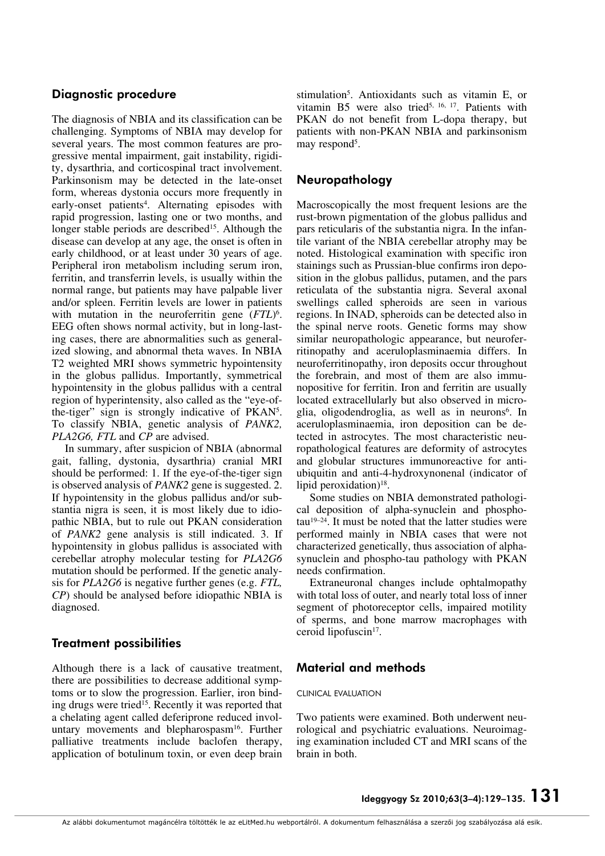## Diagnostic procedure

The diagnosis of NBIA and its classification can be challenging. Symptoms of NBIA may develop for several years. The most common features are progressive mental impairment, gait instability, rigidity, dysarthria, and corticospinal tract involvement. Parkinsonism may be detected in the late-onset form, whereas dystonia occurs more frequently in early-onset patients<sup>4</sup>. Alternating episodes with rapid progression, lasting one or two months, and longer stable periods are described<sup>15</sup>. Although the disease can develop at any age, the onset is often in early childhood, or at least under 30 years of age. Peripheral iron metabolism including serum iron, ferritin, and transferrin levels, is usually within the normal range, but patients may have palpable liver and/or spleen. Ferritin levels are lower in patients with mutation in the neuroferritin gene (*FTL*)<sup>6</sup>. EEG often shows normal activity, but in long-lasting cases, there are abnormalities such as generalized slowing, and abnormal theta waves. In NBIA T2 weighted MRI shows symmetric hypointensity in the globus pallidus. Importantly, symmetrical hypointensity in the globus pallidus with a central region of hyperintensity, also called as the "eye-ofthe-tiger" sign is strongly indicative of PKAN5. To classify NBIA, genetic analysis of *PANK2, PLA2G6, FTL* and *CP* are advised.

In summary, after suspicion of NBIA (abnormal gait, falling, dystonia, dysarthria) cranial MRI should be performed: 1. If the eye-of-the-tiger sign is observed analysis of *PANK2* gene is suggested. 2. If hypointensity in the globus pallidus and/or substantia nigra is seen, it is most likely due to idiopathic NBIA, but to rule out PKAN consideration of *PANK2* gene analysis is still indicated. 3. If hypointensity in globus pallidus is associated with cerebellar atrophy molecular testing for *PLA2G6* mutation should be performed. If the genetic analysis for *PLA2G6* is negative further genes (e.g. *FTL, CP*) should be analysed before idiopathic NBIA is diagnosed.

## Treatment possibilities

Although there is a lack of causative treatment, there are possibilities to decrease additional symptoms or to slow the progression. Earlier, iron binding drugs were tried<sup>15</sup>. Recently it was reported that a chelating agent called deferiprone reduced involuntary movements and blepharospasm<sup>16</sup>. Further palliative treatments include baclofen therapy, application of botulinum toxin, or even deep brain stimulation5. Antioxidants such as vitamin E, or vitamin B5 were also tried5, 16, 17. Patients with PKAN do not benefit from L-dopa therapy, but patients with non-PKAN NBIA and parkinsonism may respond<sup>5</sup>.

## Neuropathology

Macroscopically the most frequent lesions are the rust-brown pigmentation of the globus pallidus and pars reticularis of the substantia nigra. In the infantile variant of the NBIA cerebellar atrophy may be noted. Histological examination with specific iron stainings such as Prussian-blue confirms iron deposition in the globus pallidus, putamen, and the pars reticulata of the substantia nigra. Several axonal swellings called spheroids are seen in various regions. In INAD, spheroids can be detected also in the spinal nerve roots. Genetic forms may show similar neuropathologic appearance, but neuroferritinopathy and aceruloplasminaemia differs. In neuroferritinopathy, iron deposits occur throughout the forebrain, and most of them are also immunopositive for ferritin. Iron and ferritin are usually located extracellularly but also observed in microglia, oligodendroglia, as well as in neurons<sup>6</sup>. In aceruloplasminaemia, iron deposition can be detected in astrocytes. The most characteristic neuropathological features are deformity of astrocytes and globular structures immunoreactive for antiubiquitin and anti-4-hydroxynonenal (indicator of lipid peroxidation)<sup>18</sup>.

Some studies on NBIA demonstrated pathological deposition of alpha-synuclein and phospho $tau^{19-24}$ . It must be noted that the latter studies were performed mainly in NBIA cases that were not characterized genetically, thus association of alphasynuclein and phospho-tau pathology with PKAN needs confirmation.

Extraneuronal changes include ophtalmopathy with total loss of outer, and nearly total loss of inner segment of photoreceptor cells, impaired motility of sperms, and bone marrow macrophages with ceroid lipofuscin<sup>17</sup>.

## Material and methods

#### CLINICAL EVALUATION

Two patients were examined. Both underwent neurological and psychiatric evaluations. Neuroimaging examination included CT and MRI scans of the brain in both.

Ideggyogy Sz 2010;63(3–4):129–135. 131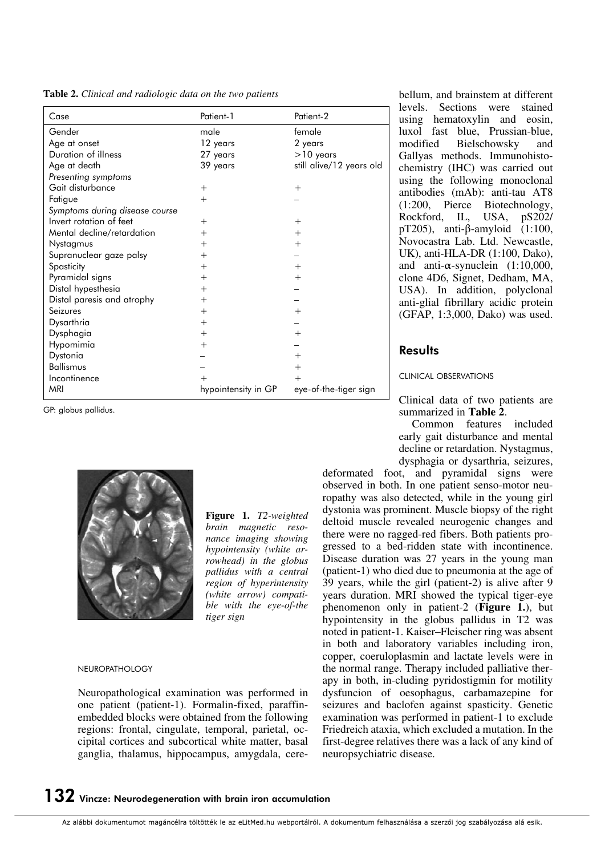**Table 2.** *Clinical and radiologic data on the two patients*

| Case                           | Patient-1           | Patient-2                |  |  |
|--------------------------------|---------------------|--------------------------|--|--|
| Gender                         | male                | female                   |  |  |
| Age at onset                   | 12 years            | 2 years                  |  |  |
| Duration of illness            | 27 years            | $>10$ years              |  |  |
| Age at death                   | 39 years            | still alive/12 years old |  |  |
| Presenting symptoms            |                     |                          |  |  |
| Gait disturbance               | $^{+}$              | $^{+}$                   |  |  |
| Fatigue                        | $^{+}$              |                          |  |  |
| Symptoms during disease course |                     |                          |  |  |
| Invert rotation of feet        | $^{+}$              | $^{+}$                   |  |  |
| Mental decline/retardation     | $^{+}$              | $^{+}$                   |  |  |
| Nystagmus                      | $^{+}$              | $^{+}$                   |  |  |
| Supranuclear gaze palsy        | $^{+}$              |                          |  |  |
| Spasticity                     | $^{+}$              | $^{+}$                   |  |  |
| Pyramidal signs                | $^{+}$              | $^{+}$                   |  |  |
| Distal hypesthesia             | $^{+}$              |                          |  |  |
| Distal paresis and atrophy     | $^{+}$              |                          |  |  |
| Seizures                       | $^{+}$              | $^{+}$                   |  |  |
| Dysarthria                     | $\overline{+}$      |                          |  |  |
| Dysphagia                      | $^{+}$              | $^{+}$                   |  |  |
| Hypomimia                      | $^{+}$              |                          |  |  |
| Dystonia                       |                     | $^{+}$                   |  |  |
| Ballismus                      |                     | $\overline{+}$           |  |  |
| Incontinence                   |                     | $^{+}$                   |  |  |
| <b>MRI</b>                     | hypointensity in GP | eye-of-the-tiger sign    |  |  |

GP: globus pallidus.



**Figure 1.** *T2-weighted brain magnetic resonance imaging showing hypointensity (white arrowhead) in the globus pallidus with a central region of hyperintensity (white arrow) compatible with the eye-of-the tiger sign*

NEUROPATHOLOGY

Neuropathological examination was performed in one patient (patient-1). Formalin-fixed, paraffinembedded blocks were obtained from the following regions: frontal, cingulate, temporal, parietal, occipital cortices and subcortical white matter, basal ganglia, thalamus, hippocampus, amygdala, cerebellum, and brainstem at different levels. Sections were stained using hematoxylin and eosin, luxol fast blue, Prussian-blue, modified Bielschowsky and Gallyas methods. Immunohistochemistry (IHC) was carried out using the following monoclonal antibodies (mAb): anti-tau AT8 (1:200, Pierce Biotechnology, Rockford, IL, USA, pS202/ pT205), anti-β-amyloid (1:100, Novocastra Lab. Ltd. Newcastle, UK), anti-HLA-DR (1:100, Dako), and anti- $\alpha$ -synuclein (1:10,000, clone 4D6, Signet, Dedham, MA, USA). In addition, polyclonal anti-glial fibrillary acidic protein (GFAP, 1:3,000, Dako) was used.

## **Results**

CLINICAL OBSERVATIONS

Clinical data of two patients are summarized in **Table 2**.

Common features included early gait disturbance and mental decline or retardation. Nystagmus, dysphagia or dysarthria, seizures,

deformated foot, and pyramidal signs were observed in both. In one patient senso-motor neuropathy was also detected, while in the young girl dystonia was prominent. Muscle biopsy of the right deltoid muscle revealed neurogenic changes and there were no ragged-red fibers. Both patients progressed to a bed-ridden state with incontinence. Disease duration was 27 years in the young man (patient-1) who died due to pneumonia at the age of 39 years, while the girl (patient-2) is alive after 9 years duration. MRI showed the typical tiger-eye phenomenon only in patient-2 (**Figure 1.**), but hypointensity in the globus pallidus in T2 was noted in patient-1. Kaiser–Fleischer ring was absent in both and laboratory variables including iron, copper, coeruloplasmin and lactate levels were in the normal range. Therapy included palliative therapy in both, in-cluding pyridostigmin for motility dysfuncion of oesophagus, carbamazepine for seizures and baclofen against spasticity. Genetic examination was performed in patient-1 to exclude Friedreich ataxia, which excluded a mutation. In the first-degree relatives there was a lack of any kind of neuropsychiatric disease.

## $\bf 132$  Vincze: Neurodegeneration with brain iron accumulation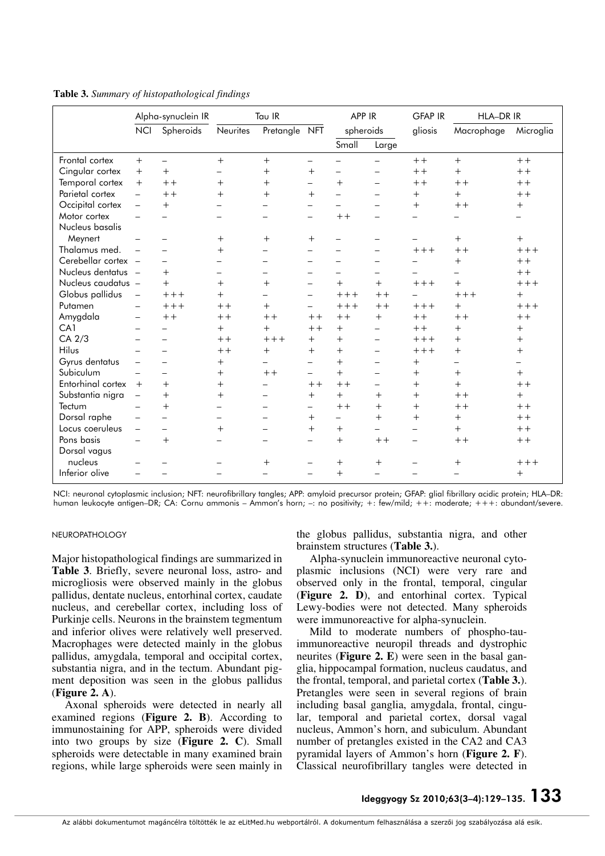|                     | Alpha-synuclein IR       |                          | Tau IR                   |                          | APP IR                   |                          | <b>GFAP IR</b>           | <b>HLA-DR IR</b> |                   |           |
|---------------------|--------------------------|--------------------------|--------------------------|--------------------------|--------------------------|--------------------------|--------------------------|------------------|-------------------|-----------|
|                     | <b>NCI</b>               | Spheroids                | Neurites                 | Pretangle                | <b>NFT</b>               | spheroids                |                          | gliosis          | Macrophage        | Microglia |
|                     |                          |                          |                          |                          |                          | Small                    | Large                    |                  |                   |           |
| Frontal cortex      | $+$                      | $\overline{\phantom{0}}$ | $+$                      | $+$                      | $\overline{\phantom{m}}$ |                          | $\overline{\phantom{0}}$ | $++$             | $+$               | $++$      |
| Cingular cortex     | $+$                      | $+$                      |                          | $+$                      | $^{+}$                   | $\overline{\phantom{0}}$ | $\overline{\phantom{0}}$ | $+ +$            | $^{+}$            | $++$      |
| Temporal cortex     | $+$                      | $++$                     | $^{+}$                   | $+$                      | $\overline{\phantom{0}}$ | $+$                      | $\overline{\phantom{0}}$ | $++$             | $++$              | $++$      |
| Parietal cortex     | L.                       | $++$                     | $+$                      | $+$                      | $^{+}$                   |                          |                          | $+$              | $+$               | $++$      |
| Occipital cortex    | $\qquad \qquad -$        | $+$                      |                          | $\overline{\phantom{0}}$ | $\overline{\phantom{0}}$ |                          |                          | $+$              | $+ +$             | $^{+}$    |
| Motor cortex        |                          | $\overline{\phantom{0}}$ | $\equiv$                 | $\overline{\phantom{0}}$ | $\overline{\phantom{0}}$ | $++$                     |                          |                  |                   |           |
| Nucleus basalis     |                          |                          |                          |                          |                          |                          |                          |                  |                   |           |
| Meynert             |                          |                          | $+$                      | $+$                      | $+$                      |                          |                          |                  | $+$               | $+$       |
| Thalamus med.       |                          |                          | $^{+}$                   |                          |                          |                          |                          | $+++$            | $++$              | $+++$     |
| Cerebellar cortex - |                          |                          |                          | —                        |                          |                          |                          |                  | $^{+}$            | $++$      |
| Nucleus dentatus -  |                          | $+$                      |                          |                          | $\equiv$                 |                          | ▃                        |                  | $\equiv$          | $++$      |
| Nucleus caudatus -  |                          | $+$                      | $+$                      | $+$                      |                          | $+$                      | $^{+}$                   | $+++$            | $^{+}$            | $+++$     |
| Globus pallidus     | $\equiv$                 | $+++$                    | $+$                      |                          | $\qquad \qquad -$        | $+++$                    | $++$                     |                  | $+++$             | $+$       |
| Putamen             |                          | $+++$                    | $+ +$                    | $+$                      | $\equiv$                 | $+++$                    | $++$                     | $+++$            | $+$               | $+++$     |
| Amygdala            |                          | $+ +$                    | $++$                     | $++$                     | $++$                     | $++$                     | $+$                      | $++$             | $++$              | $++$      |
| CA1                 |                          |                          | $+$                      | $+$                      | $++$                     | $+$                      | $\overline{\phantom{0}}$ | $++$             | $^{+}$            | $+$       |
| CA 2/3              |                          |                          | $++$                     | $+++$                    | $+$                      | $+$                      |                          | $+++$            | $^{+}$            | $+$       |
| Hilus               |                          |                          | $++$                     | $+$                      | $^{+}$                   | $^{+}$                   | $\overline{\phantom{0}}$ | $+++$            | $^{+}$            | $^{+}$    |
| Gyrus dentatus      |                          |                          | $+$                      |                          | $\equiv$                 | $+$                      |                          | $+$              | $\qquad \qquad -$ |           |
| Subiculum           |                          |                          | $+$                      | $++$                     | $\equiv$                 | $+$                      |                          | $+$              | $+$               | $+$       |
| Entorhinal cortex   | $+$                      | $+$                      | $+$                      |                          | $++$                     | $++$                     |                          | $+$              | $^{+}$            | $++$      |
| Substantia nigra    | $\overline{\phantom{0}}$ | $+$                      | $^{+}$                   | —                        | $^{+}$                   | $+$                      | $+$                      | $+$              | $++$              | $+$       |
| Tectum              |                          | $+$                      | $\overline{\phantom{0}}$ | $\overline{\phantom{0}}$ | $\overline{\phantom{m}}$ | $++$                     | $+$                      | $^{+}$           | $++$              | $++$      |
| Dorsal raphe        |                          | $\qquad \qquad -$        |                          |                          | $^{+}$                   | $\overline{\phantom{0}}$ | $+$                      | $^{+}$           | $+$               | $++$      |
| Locus coeruleus     | $\overline{\phantom{0}}$ | $\equiv$                 | $+$                      | $\equiv$                 | $^{+}$                   | $^{+}$                   |                          | $\equiv$         | $^{+}$            | $++$      |
| Pons basis          |                          | $+$                      |                          |                          |                          | $+$                      | $++$                     | $\equiv$         | $++$              | $++$      |
| Dorsal vagus        |                          |                          |                          |                          |                          |                          |                          |                  |                   |           |
| nucleus             |                          |                          |                          | $^{+}$                   |                          | $^{+}$                   | $+$                      |                  | $\mathrm{+}$      | $+++$     |
| Inferior olive      |                          |                          |                          |                          |                          | $+$                      |                          |                  |                   | $+$       |

**Table 3.** *Summary of histopathological findings*

NCI: neuronal cytoplasmic inclusion; NFT: neurofibrillary tangles; APP: amyloid precursor protein; GFAP: glial fibrillary acidic protein; HLA–DR: human leukocyte antigen–DR; CA: Cornu ammonis – Ammon's horn; –: no positivity; +: few/mild; ++: moderate; +++: abundant/severe.

#### NEUROPATHOLOGY

Major histopathological findings are summarized in **Table 3**. Briefly, severe neuronal loss, astro- and microgliosis were observed mainly in the globus pallidus, dentate nucleus, entorhinal cortex, caudate nucleus, and cerebellar cortex, including loss of Purkinje cells. Neurons in the brainstem tegmentum and inferior olives were relatively well preserved. Macrophages were detected mainly in the globus pallidus, amygdala, temporal and occipital cortex, substantia nigra, and in the tectum. Abundant pigment deposition was seen in the globus pallidus (**Figure 2. A**).

Axonal spheroids were detected in nearly all examined regions (**Figure 2. B**). According to immunostaining for APP, spheroids were divided into two groups by size (**Figure 2. C**). Small spheroids were detectable in many examined brain regions, while large spheroids were seen mainly in

the globus pallidus, substantia nigra, and other brainstem structures (**Table 3.**).

Alpha-synuclein immunoreactive neuronal cytoplasmic inclusions (NCI) were very rare and observed only in the frontal, temporal, cingular (**Figure 2. D**), and entorhinal cortex. Typical Lewy-bodies were not detected. Many spheroids were immunoreactive for alpha-synuclein.

Mild to moderate numbers of phospho-tauimmunoreactive neuropil threads and dystrophic neurites (**Figure 2. E**) were seen in the basal ganglia, hippocampal formation, nucleus caudatus, and the frontal, temporal, and parietal cortex (**Table 3.**). Pretangles were seen in several regions of brain including basal ganglia, amygdala, frontal, cingular, temporal and parietal cortex, dorsal vagal nucleus, Ammon's horn, and subiculum. Abundant number of pretangles existed in the CA2 and CA3 pyramidal layers of Ammon's horn (**Figure 2. F**). Classical neurofibrillary tangles were detected in

## Ideggyogy Sz 2010;63(3-4):129-135. 133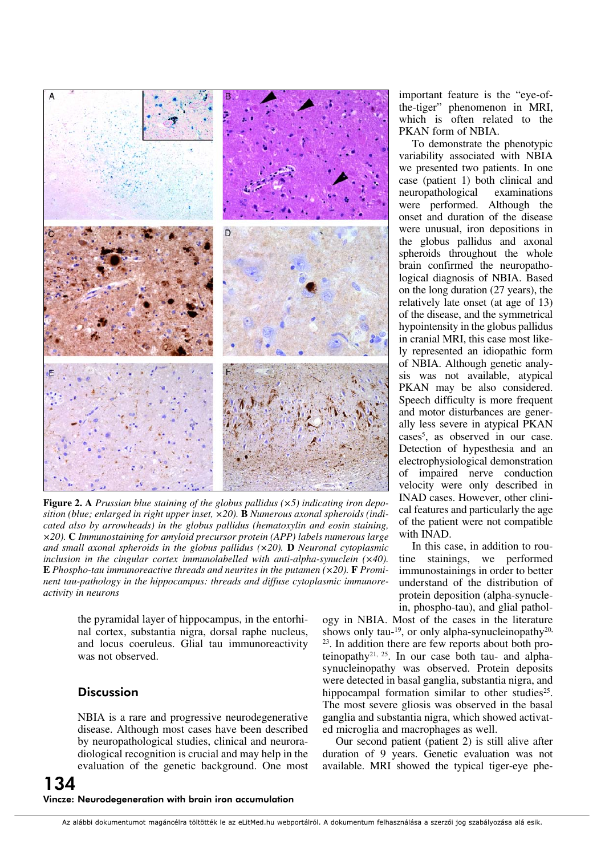

**Figure 2. A** *Prussian blue staining of the globus pallidus (×5) indicating iron deposition (blue; enlarged in right upper inset, ×20).* **B** *Numerous axonal spheroids (indicated also by arrowheads) in the globus pallidus (hematoxylin and eosin staining, ×20).* **C** *Immunostaining for amyloid precursor protein (APP) labels numerous large and small axonal spheroids in the globus pallidus (×20).* **D** *Neuronal cytoplasmic inclusion in the cingular cortex immunolabelled with anti-alpha-synuclein (×40).*  **E** *Phospho-tau immunoreactive threads and neurites in the putamen (×20).* **F** *Prominent tau-pathology in the hippocampus: threads and diffuse cytoplasmic immunoreactivity in neurons*

the pyramidal layer of hippocampus, in the entorhinal cortex, substantia nigra, dorsal raphe nucleus, and locus coeruleus. Glial tau immunoreactivity was not observed.

## **Discussion**

NBIA is a rare and progressive neurodegenerative disease. Although most cases have been described by neuropathological studies, clinical and neuroradiological recognition is crucial and may help in the evaluation of the genetic background. One most

important feature is the "eye-ofthe-tiger" phenomenon in MRI, which is often related to the PKAN form of NBIA.

To demonstrate the phenotypic variability associated with NBIA we presented two patients. In one case (patient 1) both clinical and neuropathological examinations were performed. Although the onset and duration of the disease were unusual, iron depositions in the globus pallidus and axonal spheroids throughout the whole brain confirmed the neuropathological diagnosis of NBIA. Based on the long duration (27 years), the relatively late onset (at age of 13) of the disease, and the symmetrical hypointensity in the globus pallidus in cranial MRI, this case most likely represented an idiopathic form of NBIA. Although genetic analysis was not available, atypical PKAN may be also considered. Speech difficulty is more frequent and motor disturbances are generally less severe in atypical PKAN cases<sup>5</sup>, as observed in our case. Detection of hypesthesia and an electrophysiological demonstration of impaired nerve conduction velocity were only described in INAD cases. However, other clinical features and particularly the age of the patient were not compatible with INAD.

In this case, in addition to routine stainings, we performed immunostainings in order to better understand of the distribution of protein deposition (alpha-synuclein, phospho-tau), and glial pathol-

ogy in NBIA. Most of the cases in the literature shows only tau-<sup>19</sup>, or only alpha-synucleinopathy<sup>20,</sup> 23. In addition there are few reports about both proteinopathy<sup>21, 25</sup>. In our case both tau- and alphasynucleinopathy was observed. Protein deposits were detected in basal ganglia, substantia nigra, and hippocampal formation similar to other studies<sup>25</sup>. The most severe gliosis was observed in the basal ganglia and substantia nigra, which showed activated microglia and macrophages as well.

Our second patient (patient 2) is still alive after duration of 9 years. Genetic evaluation was not available. MRI showed the typical tiger-eye phe-

## 134 Vincze: Neurodegeneration with brain iron accumulation

Az alábbi dokumentumot magáncélra töltötték le az eLitMed.hu webportálról. A dokumentum felhasználása a szerzôi jog szabályozása alá esik.